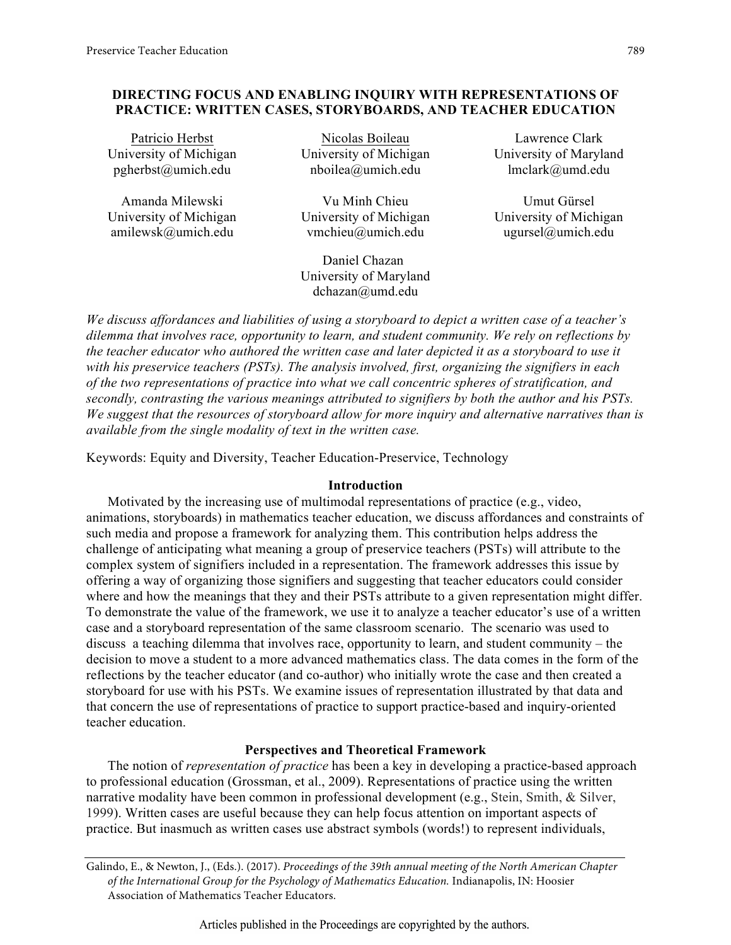# **DIRECTING FOCUS AND ENABLING INQUIRY WITH REPRESENTATIONS OF PRACTICE: WRITTEN CASES, STORYBOARDS, AND TEACHER EDUCATION**

| Patricio Herbst        | Nicolas Boileau        | Lawrence Clark         |
|------------------------|------------------------|------------------------|
| University of Michigan | University of Michigan | University of Maryland |
| pgherbst@umich.edu     | nboilea@umich.edu      | lmclark@umd.edu        |
| Amanda Milewski        | Vu Minh Chieu          | Umut Gürsel            |
| University of Michigan | University of Michigan | University of Michigan |
| amilewsk@umich.edu     | vmchieu@umich.edu      | ugursel@umich.edu      |

Daniel Chazan University of Maryland dchazan@umd.edu

*We discuss affordances and liabilities of using a storyboard to depict a written case of a teacher's dilemma that involves race, opportunity to learn, and student community. We rely on reflections by the teacher educator who authored the written case and later depicted it as a storyboard to use it with his preservice teachers (PSTs). The analysis involved, first, organizing the signifiers in each of the two representations of practice into what we call concentric spheres of stratification, and secondly, contrasting the various meanings attributed to signifiers by both the author and his PSTs. We suggest that the resources of storyboard allow for more inquiry and alternative narratives than is available from the single modality of text in the written case.*

Keywords: Equity and Diversity, Teacher Education-Preservice, Technology

### **Introduction**

Motivated by the increasing use of multimodal representations of practice (e.g., video, animations, storyboards) in mathematics teacher education, we discuss affordances and constraints of such media and propose a framework for analyzing them. This contribution helps address the challenge of anticipating what meaning a group of preservice teachers (PSTs) will attribute to the complex system of signifiers included in a representation. The framework addresses this issue by offering a way of organizing those signifiers and suggesting that teacher educators could consider where and how the meanings that they and their PSTs attribute to a given representation might differ. To demonstrate the value of the framework, we use it to analyze a teacher educator's use of a written case and a storyboard representation of the same classroom scenario. The scenario was used to discuss a teaching dilemma that involves race, opportunity to learn, and student community – the decision to move a student to a more advanced mathematics class. The data comes in the form of the reflections by the teacher educator (and co-author) who initially wrote the case and then created a storyboard for use with his PSTs. We examine issues of representation illustrated by that data and that concern the use of representations of practice to support practice-based and inquiry-oriented teacher education.

## **Perspectives and Theoretical Framework**

The notion of *representation of practice* has been a key in developing a practice-based approach to professional education (Grossman, et al., 2009). Representations of practice using the written narrative modality have been common in professional development (e.g., Stein, Smith, & Silver, 1999). Written cases are useful because they can help focus attention on important aspects of practice. But inasmuch as written cases use abstract symbols (words!) to represent individuals,

Galindo, E., & Newton, J., (Eds.). (2017). *Proceedings of the 39th annual meeting of the North American Chapter of the International Group for the Psychology of Mathematics Education.* Indianapolis, IN: Hoosier Association of Mathematics Teacher Educators.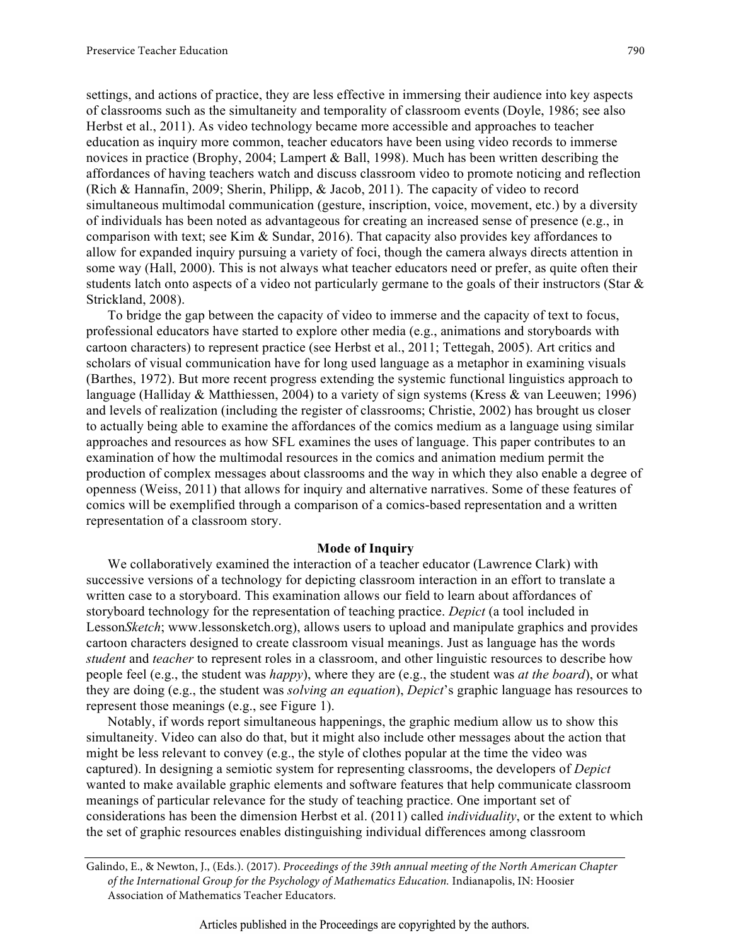settings, and actions of practice, they are less effective in immersing their audience into key aspects of classrooms such as the simultaneity and temporality of classroom events (Doyle, 1986; see also Herbst et al., 2011). As video technology became more accessible and approaches to teacher education as inquiry more common, teacher educators have been using video records to immerse novices in practice (Brophy, 2004; Lampert & Ball, 1998). Much has been written describing the affordances of having teachers watch and discuss classroom video to promote noticing and reflection (Rich & Hannafin, 2009; Sherin, Philipp, & Jacob, 2011). The capacity of video to record simultaneous multimodal communication (gesture, inscription, voice, movement, etc.) by a diversity of individuals has been noted as advantageous for creating an increased sense of presence (e.g., in comparison with text; see Kim & Sundar, 2016). That capacity also provides key affordances to allow for expanded inquiry pursuing a variety of foci, though the camera always directs attention in some way (Hall, 2000). This is not always what teacher educators need or prefer, as quite often their students latch onto aspects of a video not particularly germane to the goals of their instructors (Star & Strickland, 2008).

To bridge the gap between the capacity of video to immerse and the capacity of text to focus, professional educators have started to explore other media (e.g., animations and storyboards with cartoon characters) to represent practice (see Herbst et al., 2011; Tettegah, 2005). Art critics and scholars of visual communication have for long used language as a metaphor in examining visuals (Barthes, 1972). But more recent progress extending the systemic functional linguistics approach to language (Halliday & Matthiessen, 2004) to a variety of sign systems (Kress & van Leeuwen; 1996) and levels of realization (including the register of classrooms; Christie, 2002) has brought us closer to actually being able to examine the affordances of the comics medium as a language using similar approaches and resources as how SFL examines the uses of language. This paper contributes to an examination of how the multimodal resources in the comics and animation medium permit the production of complex messages about classrooms and the way in which they also enable a degree of openness (Weiss, 2011) that allows for inquiry and alternative narratives. Some of these features of comics will be exemplified through a comparison of a comics-based representation and a written representation of a classroom story.

#### **Mode of Inquiry**

We collaboratively examined the interaction of a teacher educator (Lawrence Clark) with successive versions of a technology for depicting classroom interaction in an effort to translate a written case to a storyboard. This examination allows our field to learn about affordances of storyboard technology for the representation of teaching practice. *Depict* (a tool included in Lesson*Sketch*; www.lessonsketch.org), allows users to upload and manipulate graphics and provides cartoon characters designed to create classroom visual meanings. Just as language has the words *student* and *teacher* to represent roles in a classroom, and other linguistic resources to describe how people feel (e.g., the student was *happy*), where they are (e.g., the student was *at the board*), or what they are doing (e.g., the student was *solving an equation*), *Depict*'s graphic language has resources to represent those meanings (e.g., see Figure 1).

Notably, if words report simultaneous happenings, the graphic medium allow us to show this simultaneity. Video can also do that, but it might also include other messages about the action that might be less relevant to convey (e.g., the style of clothes popular at the time the video was captured). In designing a semiotic system for representing classrooms, the developers of *Depict* wanted to make available graphic elements and software features that help communicate classroom meanings of particular relevance for the study of teaching practice. One important set of considerations has been the dimension Herbst et al. (2011) called *individuality*, or the extent to which the set of graphic resources enables distinguishing individual differences among classroom

Galindo, E., & Newton, J., (Eds.). (2017). *Proceedings of the 39th annual meeting of the North American Chapter of the International Group for the Psychology of Mathematics Education.* Indianapolis, IN: Hoosier Association of Mathematics Teacher Educators.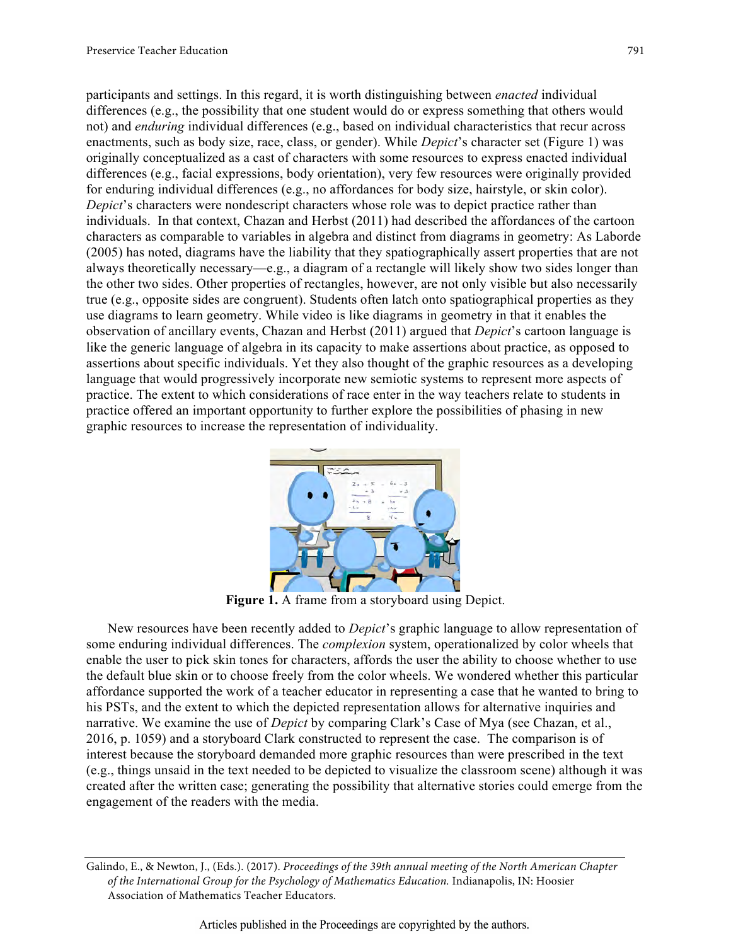participants and settings. In this regard, it is worth distinguishing between *enacted* individual differences (e.g., the possibility that one student would do or express something that others would not) and *enduring* individual differences (e.g., based on individual characteristics that recur across enactments, such as body size, race, class, or gender). While *Depict*'s character set (Figure 1) was originally conceptualized as a cast of characters with some resources to express enacted individual differences (e.g., facial expressions, body orientation), very few resources were originally provided for enduring individual differences (e.g., no affordances for body size, hairstyle, or skin color). *Depict*'s characters were nondescript characters whose role was to depict practice rather than individuals. In that context, Chazan and Herbst (2011) had described the affordances of the cartoon characters as comparable to variables in algebra and distinct from diagrams in geometry: As Laborde (2005) has noted, diagrams have the liability that they spatiographically assert properties that are not always theoretically necessary—e.g., a diagram of a rectangle will likely show two sides longer than the other two sides. Other properties of rectangles, however, are not only visible but also necessarily true (e.g., opposite sides are congruent). Students often latch onto spatiographical properties as they use diagrams to learn geometry. While video is like diagrams in geometry in that it enables the observation of ancillary events, Chazan and Herbst (2011) argued that *Depict*'s cartoon language is like the generic language of algebra in its capacity to make assertions about practice, as opposed to assertions about specific individuals. Yet they also thought of the graphic resources as a developing language that would progressively incorporate new semiotic systems to represent more aspects of practice. The extent to which considerations of race enter in the way teachers relate to students in practice offered an important opportunity to further explore the possibilities of phasing in new graphic resources to increase the representation of individuality.



**Figure 1.** A frame from a storyboard using Depict.

New resources have been recently added to *Depict*'s graphic language to allow representation of some enduring individual differences. The *complexion* system, operationalized by color wheels that enable the user to pick skin tones for characters, affords the user the ability to choose whether to use the default blue skin or to choose freely from the color wheels. We wondered whether this particular affordance supported the work of a teacher educator in representing a case that he wanted to bring to his PSTs, and the extent to which the depicted representation allows for alternative inquiries and narrative. We examine the use of *Depict* by comparing Clark's Case of Mya (see Chazan, et al., 2016, p. 1059) and a storyboard Clark constructed to represent the case. The comparison is of interest because the storyboard demanded more graphic resources than were prescribed in the text (e.g., things unsaid in the text needed to be depicted to visualize the classroom scene) although it was created after the written case; generating the possibility that alternative stories could emerge from the engagement of the readers with the media.

Galindo, E., & Newton, J., (Eds.). (2017). *Proceedings of the 39th annual meeting of the North American Chapter of the International Group for the Psychology of Mathematics Education.* Indianapolis, IN: Hoosier Association of Mathematics Teacher Educators.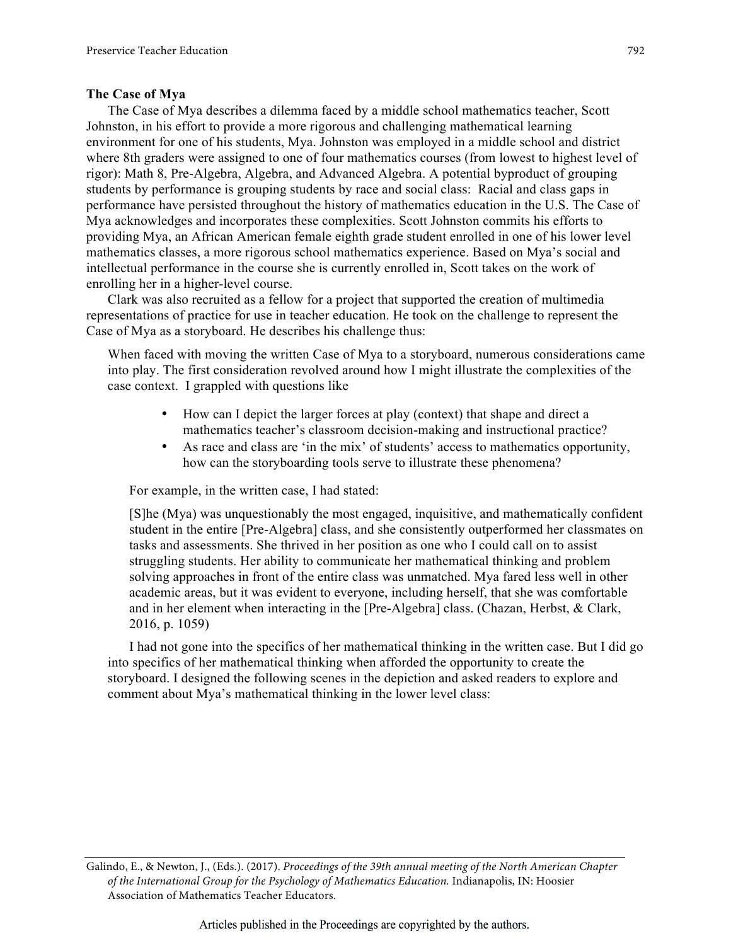#### **The Case of Mya**

The Case of Mya describes a dilemma faced by a middle school mathematics teacher, Scott Johnston, in his effort to provide a more rigorous and challenging mathematical learning environment for one of his students, Mya. Johnston was employed in a middle school and district where 8th graders were assigned to one of four mathematics courses (from lowest to highest level of rigor): Math 8, Pre-Algebra, Algebra, and Advanced Algebra. A potential byproduct of grouping students by performance is grouping students by race and social class: Racial and class gaps in performance have persisted throughout the history of mathematics education in the U.S. The Case of Mya acknowledges and incorporates these complexities. Scott Johnston commits his efforts to providing Mya, an African American female eighth grade student enrolled in one of his lower level mathematics classes, a more rigorous school mathematics experience. Based on Mya's social and intellectual performance in the course she is currently enrolled in, Scott takes on the work of enrolling her in a higher-level course.

Clark was also recruited as a fellow for a project that supported the creation of multimedia representations of practice for use in teacher education. He took on the challenge to represent the Case of Mya as a storyboard. He describes his challenge thus:

When faced with moving the written Case of Mya to a storyboard, numerous considerations came into play. The first consideration revolved around how I might illustrate the complexities of the case context. I grappled with questions like

- How can I depict the larger forces at play (context) that shape and direct a mathematics teacher's classroom decision-making and instructional practice?
- As race and class are 'in the mix' of students' access to mathematics opportunity, how can the storyboarding tools serve to illustrate these phenomena?

For example, in the written case, I had stated:

[S]he (Mya) was unquestionably the most engaged, inquisitive, and mathematically confident student in the entire [Pre-Algebra] class, and she consistently outperformed her classmates on tasks and assessments. She thrived in her position as one who I could call on to assist struggling students. Her ability to communicate her mathematical thinking and problem solving approaches in front of the entire class was unmatched. Mya fared less well in other academic areas, but it was evident to everyone, including herself, that she was comfortable and in her element when interacting in the [Pre-Algebra] class. (Chazan, Herbst, & Clark, 2016, p. 1059)

I had not gone into the specifics of her mathematical thinking in the written case. But I did go into specifics of her mathematical thinking when afforded the opportunity to create the storyboard. I designed the following scenes in the depiction and asked readers to explore and comment about Mya's mathematical thinking in the lower level class:

Galindo, E., & Newton, J., (Eds.). (2017). *Proceedings of the 39th annual meeting of the North American Chapter of the International Group for the Psychology of Mathematics Education.* Indianapolis, IN: Hoosier Association of Mathematics Teacher Educators.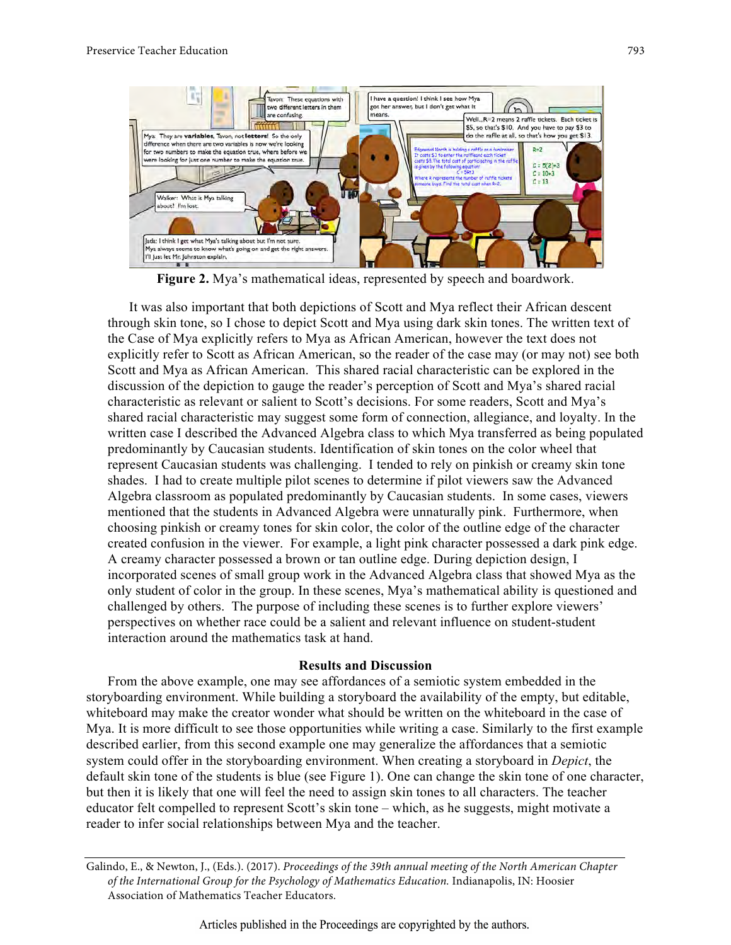

**Figure 2.** Mya's mathematical ideas, represented by speech and boardwork.

It was also important that both depictions of Scott and Mya reflect their African descent through skin tone, so I chose to depict Scott and Mya using dark skin tones. The written text of the Case of Mya explicitly refers to Mya as African American, however the text does not explicitly refer to Scott as African American, so the reader of the case may (or may not) see both Scott and Mya as African American. This shared racial characteristic can be explored in the discussion of the depiction to gauge the reader's perception of Scott and Mya's shared racial characteristic as relevant or salient to Scott's decisions. For some readers, Scott and Mya's shared racial characteristic may suggest some form of connection, allegiance, and loyalty. In the written case I described the Advanced Algebra class to which Mya transferred as being populated predominantly by Caucasian students. Identification of skin tones on the color wheel that represent Caucasian students was challenging. I tended to rely on pinkish or creamy skin tone shades. I had to create multiple pilot scenes to determine if pilot viewers saw the Advanced Algebra classroom as populated predominantly by Caucasian students. In some cases, viewers mentioned that the students in Advanced Algebra were unnaturally pink. Furthermore, when choosing pinkish or creamy tones for skin color, the color of the outline edge of the character created confusion in the viewer. For example, a light pink character possessed a dark pink edge. A creamy character possessed a brown or tan outline edge. During depiction design, I incorporated scenes of small group work in the Advanced Algebra class that showed Mya as the only student of color in the group. In these scenes, Mya's mathematical ability is questioned and challenged by others. The purpose of including these scenes is to further explore viewers' perspectives on whether race could be a salient and relevant influence on student-student interaction around the mathematics task at hand.

### **Results and Discussion**

From the above example, one may see affordances of a semiotic system embedded in the storyboarding environment. While building a storyboard the availability of the empty, but editable, whiteboard may make the creator wonder what should be written on the whiteboard in the case of Mya. It is more difficult to see those opportunities while writing a case. Similarly to the first example described earlier, from this second example one may generalize the affordances that a semiotic system could offer in the storyboarding environment. When creating a storyboard in *Depict*, the default skin tone of the students is blue (see Figure 1). One can change the skin tone of one character, but then it is likely that one will feel the need to assign skin tones to all characters. The teacher educator felt compelled to represent Scott's skin tone – which, as he suggests, might motivate a reader to infer social relationships between Mya and the teacher.

Galindo, E., & Newton, J., (Eds.). (2017). *Proceedings of the 39th annual meeting of the North American Chapter of the International Group for the Psychology of Mathematics Education.* Indianapolis, IN: Hoosier Association of Mathematics Teacher Educators.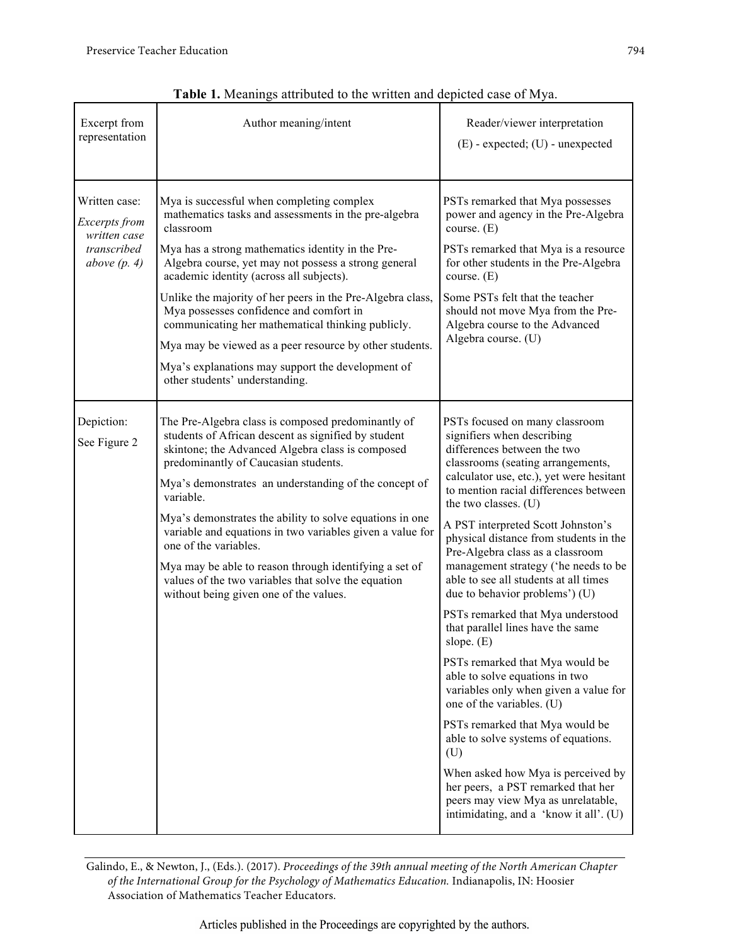| <b>I ADIC 1.</b> IVICANINES ANTIQUICO NO NIC WITHOU AND OCPICIOU CASC OF IVI YA.                                                                                                                          |                                                                                                                                                                                                                                                                                                                                                                                                                                                                                                                                                                                         |                                                                                                                                                                                                                                                                                                                                                                                                                                                                                                                                                                                                                                                                                                                                                                                                                                                                                                                                                                      |  |
|-----------------------------------------------------------------------------------------------------------------------------------------------------------------------------------------------------------|-----------------------------------------------------------------------------------------------------------------------------------------------------------------------------------------------------------------------------------------------------------------------------------------------------------------------------------------------------------------------------------------------------------------------------------------------------------------------------------------------------------------------------------------------------------------------------------------|----------------------------------------------------------------------------------------------------------------------------------------------------------------------------------------------------------------------------------------------------------------------------------------------------------------------------------------------------------------------------------------------------------------------------------------------------------------------------------------------------------------------------------------------------------------------------------------------------------------------------------------------------------------------------------------------------------------------------------------------------------------------------------------------------------------------------------------------------------------------------------------------------------------------------------------------------------------------|--|
| Excerpt from<br>representation                                                                                                                                                                            | Author meaning/intent                                                                                                                                                                                                                                                                                                                                                                                                                                                                                                                                                                   | Reader/viewer interpretation<br>$(E)$ - expected; $(U)$ - unexpected                                                                                                                                                                                                                                                                                                                                                                                                                                                                                                                                                                                                                                                                                                                                                                                                                                                                                                 |  |
| Written case:<br>Excerpts from<br>written case<br>transcribed<br>above $(p. 4)$                                                                                                                           | Mya is successful when completing complex<br>mathematics tasks and assessments in the pre-algebra<br>classroom<br>Mya has a strong mathematics identity in the Pre-<br>Algebra course, yet may not possess a strong general<br>academic identity (across all subjects).<br>Unlike the majority of her peers in the Pre-Algebra class,<br>Mya possesses confidence and comfort in<br>communicating her mathematical thinking publicly.<br>Mya may be viewed as a peer resource by other students.<br>Mya's explanations may support the development of<br>other students' understanding. | PSTs remarked that Mya possesses<br>power and agency in the Pre-Algebra<br>course. $(E)$<br>PSTs remarked that Mya is a resource<br>for other students in the Pre-Algebra<br>course. $(E)$<br>Some PSTs felt that the teacher<br>should not move Mya from the Pre-<br>Algebra course to the Advanced<br>Algebra course. (U)                                                                                                                                                                                                                                                                                                                                                                                                                                                                                                                                                                                                                                          |  |
| Depiction:<br>See Figure 2<br>predominantly of Caucasian students.<br>variable.<br>one of the variables.<br>values of the two variables that solve the equation<br>without being given one of the values. | The Pre-Algebra class is composed predominantly of<br>students of African descent as signified by student<br>skintone; the Advanced Algebra class is composed<br>Mya's demonstrates an understanding of the concept of<br>Mya's demonstrates the ability to solve equations in one<br>variable and equations in two variables given a value for<br>Mya may be able to reason through identifying a set of                                                                                                                                                                               | PSTs focused on many classroom<br>signifiers when describing<br>differences between the two<br>classrooms (seating arrangements,<br>calculator use, etc.), yet were hesitant<br>to mention racial differences between<br>the two classes. (U)<br>A PST interpreted Scott Johnston's<br>physical distance from students in the<br>Pre-Algebra class as a classroom<br>management strategy ('he needs to be<br>able to see all students at all times<br>due to behavior problems') (U)<br>PSTs remarked that Mya understood<br>that parallel lines have the same<br>slope. (E)<br>PSTs remarked that Mya would be<br>able to solve equations in two<br>variables only when given a value for<br>one of the variables. (U)<br>PSTs remarked that Mya would be<br>able to solve systems of equations.<br>(U)<br>When asked how Mya is perceived by<br>her peers, a PST remarked that her<br>peers may view Mya as unrelatable,<br>intimidating, and a 'know it all'. (U) |  |

**Table 1.** Meanings attributed to the written and depicted case of Mya.

Galindo, E., & Newton, J., (Eds.). (2017). *Proceedings of the 39th annual meeting of the North American Chapter of the International Group for the Psychology of Mathematics Education.* Indianapolis, IN: Hoosier Association of Mathematics Teacher Educators.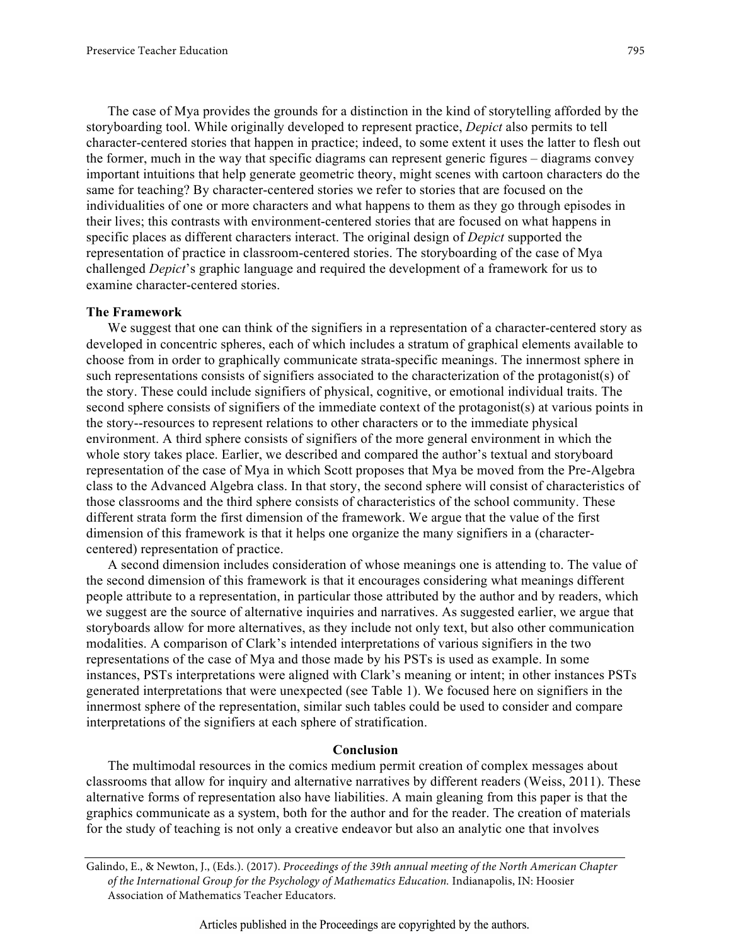The case of Mya provides the grounds for a distinction in the kind of storytelling afforded by the storyboarding tool. While originally developed to represent practice, *Depict* also permits to tell character-centered stories that happen in practice; indeed, to some extent it uses the latter to flesh out the former, much in the way that specific diagrams can represent generic figures – diagrams convey important intuitions that help generate geometric theory, might scenes with cartoon characters do the same for teaching? By character-centered stories we refer to stories that are focused on the individualities of one or more characters and what happens to them as they go through episodes in their lives; this contrasts with environment-centered stories that are focused on what happens in specific places as different characters interact. The original design of *Depict* supported the representation of practice in classroom-centered stories. The storyboarding of the case of Mya challenged *Depict*'s graphic language and required the development of a framework for us to examine character-centered stories.

#### **The Framework**

We suggest that one can think of the signifiers in a representation of a character-centered story as developed in concentric spheres, each of which includes a stratum of graphical elements available to choose from in order to graphically communicate strata-specific meanings. The innermost sphere in such representations consists of signifiers associated to the characterization of the protagonist(s) of the story. These could include signifiers of physical, cognitive, or emotional individual traits. The second sphere consists of signifiers of the immediate context of the protagonist(s) at various points in the story--resources to represent relations to other characters or to the immediate physical environment. A third sphere consists of signifiers of the more general environment in which the whole story takes place. Earlier, we described and compared the author's textual and storyboard representation of the case of Mya in which Scott proposes that Mya be moved from the Pre-Algebra class to the Advanced Algebra class. In that story, the second sphere will consist of characteristics of those classrooms and the third sphere consists of characteristics of the school community. These different strata form the first dimension of the framework. We argue that the value of the first dimension of this framework is that it helps one organize the many signifiers in a (charactercentered) representation of practice.

A second dimension includes consideration of whose meanings one is attending to. The value of the second dimension of this framework is that it encourages considering what meanings different people attribute to a representation, in particular those attributed by the author and by readers, which we suggest are the source of alternative inquiries and narratives. As suggested earlier, we argue that storyboards allow for more alternatives, as they include not only text, but also other communication modalities. A comparison of Clark's intended interpretations of various signifiers in the two representations of the case of Mya and those made by his PSTs is used as example. In some instances, PSTs interpretations were aligned with Clark's meaning or intent; in other instances PSTs generated interpretations that were unexpected (see Table 1). We focused here on signifiers in the innermost sphere of the representation, similar such tables could be used to consider and compare interpretations of the signifiers at each sphere of stratification.

#### **Conclusion**

The multimodal resources in the comics medium permit creation of complex messages about classrooms that allow for inquiry and alternative narratives by different readers (Weiss, 2011). These alternative forms of representation also have liabilities. A main gleaning from this paper is that the graphics communicate as a system, both for the author and for the reader. The creation of materials for the study of teaching is not only a creative endeavor but also an analytic one that involves

Galindo, E., & Newton, J., (Eds.). (2017). *Proceedings of the 39th annual meeting of the North American Chapter of the International Group for the Psychology of Mathematics Education.* Indianapolis, IN: Hoosier Association of Mathematics Teacher Educators.